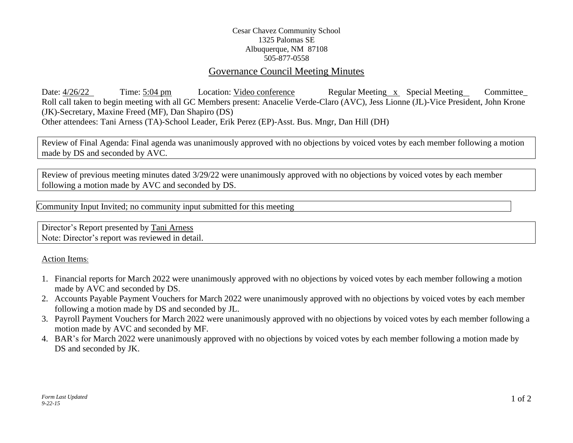# Cesar Chavez Community School 1325 Palomas SE Albuquerque, NM 87108 505-877-0558

# Governance Council Meeting Minutes

Date:  $\frac{4}{26/22}$  Time: 5:04 pm Location: Video conference Regular Meeting x Special Meeting Committee Roll call taken to begin meeting with all GC Members present: Anacelie Verde-Claro (AVC), Jess Lionne (JL)-Vice President, John Krone (JK)-Secretary, Maxine Freed (MF), Dan Shapiro (DS) Other attendees: Tani Arness (TA)-School Leader, Erik Perez (EP)-Asst. Bus. Mngr, Dan Hill (DH)

Review of Final Agenda: Final agenda was unanimously approved with no objections by voiced votes by each member following a motion made by DS and seconded by AVC.

Review of previous meeting minutes dated 3/29/22 were unanimously approved with no objections by voiced votes by each member following a motion made by AVC and seconded by DS.

Community Input Invited; no community input submitted for this meeting

Director's Report presented by Tani Arness Note: Director's report was reviewed in detail.

### Action Items:

- 1. Financial reports for March 2022 were unanimously approved with no objections by voiced votes by each member following a motion made by AVC and seconded by DS.
- 2. Accounts Payable Payment Vouchers for March 2022 were unanimously approved with no objections by voiced votes by each member following a motion made by DS and seconded by JL.
- 3. Payroll Payment Vouchers for March 2022 were unanimously approved with no objections by voiced votes by each member following a motion made by AVC and seconded by MF.
- 4. BAR's for March 2022 were unanimously approved with no objections by voiced votes by each member following a motion made by DS and seconded by JK.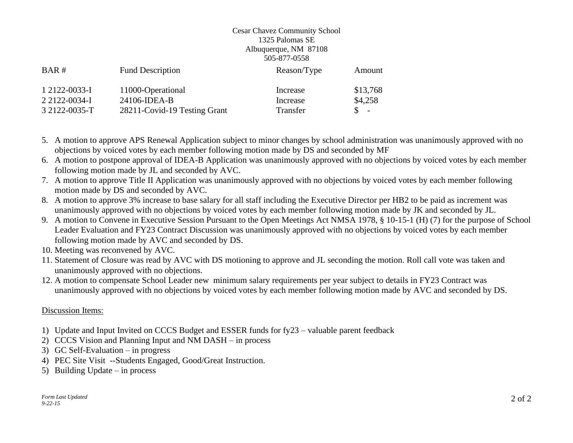### Cesar Chavez Community School 1325 Palomas SE Albuquerque, NM 87108 505-877-0558

| BAR#          | <b>Fund Description</b>      | Reason/Type | Amount   |
|---------------|------------------------------|-------------|----------|
| 1 2122-0033-I | 11000-Operational            | Increase    | \$13,768 |
| 2 2122-0034-I | 24106-IDEA-B                 | Increase    | \$4,258  |
| 3 2122-0035-T | 28211-Covid-19 Testing Grant | Transfer    | $S =$    |

- 5. A motion to approve APS Renewal Application subject to minor changes by school administration was unanimously approved with no objections by voiced votes by each member following motion made by DS and seconded by MF
- 6. A motion to postpone approval of IDEA-B Application was unanimously approved with no objections by voiced votes by each member following motion made by JL and seconded by AVC.
- 7. A motion to approve Title II Application was unanimously approved with no objections by voiced votes by each member following motion made by DS and seconded by AVC.
- 8. A motion to approve 3% increase to base salary for all staff including the Executive Director per HB2 to be paid as increment was unanimously approved with no objections by voiced votes by each member following motion made by JK and seconded by JL.
- 9. A motion to Convene in Executive Session Pursuant to the Open Meetings Act NMSA 1978, § 10-15-1 (H) (7) for the purpose of School Leader Evaluation and FY23 Contract Discussion was unanimously approved with no objections by voiced votes by each member following motion made by AVC and seconded by DS.
- 10. Meeting was reconvened by AVC.
- 11. Statement of Closure was read by AVC with DS motioning to approve and JL seconding the motion. Roll call vote was taken and unanimously approved with no objections.
- 12. A motion to compensate School Leader new minimum salary requirements per year subject to details in FY23 Contract was unanimously approved with no objections by voiced votes by each member following motion made by AVC and seconded by DS.

### Discussion Items:

- 1) Update and Input Invited on CCCS Budget and ESSER funds for fy23 valuable parent feedback
- 2) CCCS Vision and Planning Input and NM DASH in process
- 3) GC Self-Evaluation in progress
- 4) PEC Site Visit --Students Engaged, Good/Great Instruction.
- 5) Building Update in process